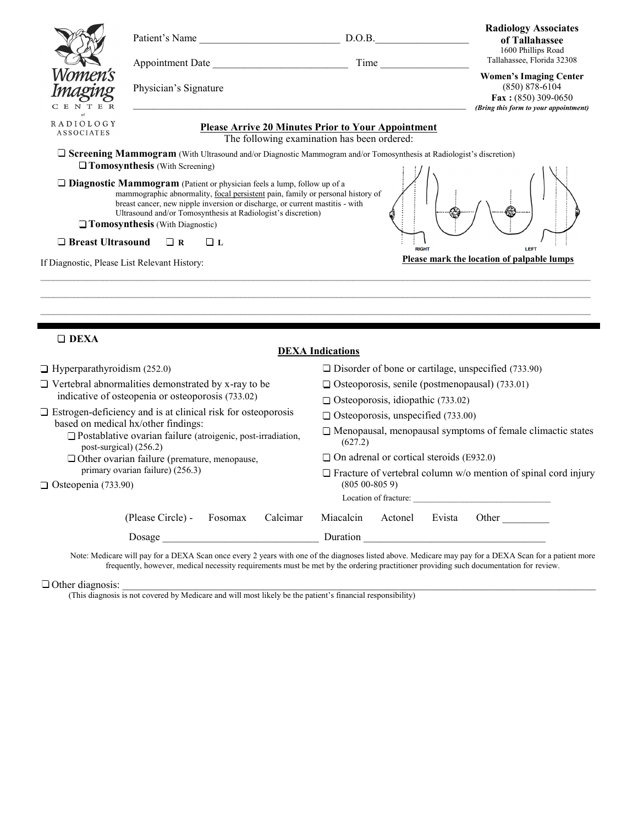|                                                                                                                                                                                                                                                                                                                                                                   |                       | Patient's Name<br>D.O.B.                                                                                 | <b>Radiology Associates</b><br>of Tallahassee<br>1600 Phillips Road                                                              |  |
|-------------------------------------------------------------------------------------------------------------------------------------------------------------------------------------------------------------------------------------------------------------------------------------------------------------------------------------------------------------------|-----------------------|----------------------------------------------------------------------------------------------------------|----------------------------------------------------------------------------------------------------------------------------------|--|
|                                                                                                                                                                                                                                                                                                                                                                   |                       | Appointment Date                                                                                         | Tallahassee, Florida 32308<br>Time                                                                                               |  |
| Vomen's<br>maeine<br>CENTER                                                                                                                                                                                                                                                                                                                                       | Physician's Signature |                                                                                                          | <b>Women's Imaging Center</b><br>$(850) 878 - 6104$<br>$\textbf{Fax}: (850) 309 - 0650$<br>(Bring this form to your appointment) |  |
| <b>RADIOLOGY</b><br><b>ASSOCIATES</b>                                                                                                                                                                                                                                                                                                                             |                       | <b>Please Arrive 20 Minutes Prior to Your Appointment</b><br>The following examination has been ordered: |                                                                                                                                  |  |
| □ Screening Mammogram (With Ultrasound and/or Diagnostic Mammogram and/or Tomosynthesis at Radiologist's discretion)<br>$\Box$ Tomosynthesis (With Screening)                                                                                                                                                                                                     |                       |                                                                                                          |                                                                                                                                  |  |
| $\Box$ <b>Diagnostic Mammogram</b> (Patient or physician feels a lump, follow up of a<br>mammographic abnormality, focal persistent pain, family or personal history of<br>breast cancer, new nipple inversion or discharge, or current mastitis - with<br>Ultrasound and/or Tomosynthesis at Radiologist's discretion)<br>$\Box$ Tomosynthesis (With Diagnostic) |                       |                                                                                                          |                                                                                                                                  |  |
| $\Box$ Breast Ultrasound<br>$\Box$ R<br>□τ.<br><b>RIGHT</b><br>LEFT<br>Please mark the location of palpable lumps<br>If Diagnostic, Please List Relevant History:                                                                                                                                                                                                 |                       |                                                                                                          |                                                                                                                                  |  |
|                                                                                                                                                                                                                                                                                                                                                                   |                       |                                                                                                          |                                                                                                                                  |  |
| $\Box$ DEXA<br><b>DEXA</b> Indications                                                                                                                                                                                                                                                                                                                            |                       |                                                                                                          |                                                                                                                                  |  |

| $\Box$ Hyperparathyroidism (252.0)                                                                                                    | $\square$ Disorder of bone or cartilage, unspecified (733.90)                |  |
|---------------------------------------------------------------------------------------------------------------------------------------|------------------------------------------------------------------------------|--|
| $\Box$ Vertebral abnormalities demonstrated by x-ray to be                                                                            | $\Box$ Osteoporosis, senile (postmenopausal) (733.01)                        |  |
| indicative of osteopenia or osteoporosis (733.02)                                                                                     | $\Box$ Osteoporosis, idiopathic (733.02)                                     |  |
| $\Box$ Estrogen-deficiency and is at clinical risk for osteoporosis                                                                   | $\Box$ Osteoporosis, unspecified (733.00)                                    |  |
| based on medical hx/other findings:<br>$\Box$ Postablative ovarian failure (atroigenic, post-irradiation,<br>post-surgical) $(256.2)$ | $\Box$ Menopausal, menopausal symptoms of female climactic states<br>(627.2) |  |
| $\Box$ Other ovarian failure (premature, menopause,                                                                                   | $\Box$ On adrenal or cortical steroids (E932.0)                              |  |
| primary ovarian failure) (256.3)                                                                                                      | $\Box$ Fracture of vertebral column w/o mention of spinal cord injury        |  |
| $\Box$ Osteopenia (733.90)                                                                                                            | $(80500 - 8059)$                                                             |  |
|                                                                                                                                       | Location of fracture:                                                        |  |
| Calcimar<br>(Please Circle) -<br>Fosomax                                                                                              | Miacalcin<br>Actonel<br>Evista<br>Other                                      |  |
| Dosage                                                                                                                                | Duration                                                                     |  |

Note: Medicare will pay for a DEXA Scan once every 2 years with one of the diagnoses listed above. Medicare may pay for a DEXA Scan for a patient more frequently, however, medical necessity requirements must be met by the ordering practitioner providing such documentation for review.

Other diagnosis: \_\_\_\_\_\_\_\_\_\_\_\_\_\_\_\_\_\_\_\_\_\_\_\_\_\_\_\_\_\_\_\_\_\_\_\_\_\_\_\_\_\_\_\_\_\_\_\_\_\_\_\_\_\_\_\_\_\_\_\_\_\_\_\_\_\_\_\_\_\_\_\_\_\_\_\_\_\_\_\_\_\_\_\_\_\_\_\_\_\_\_

(This diagnosis is not covered by Medicare and will most likely be the patient's financial responsibility)